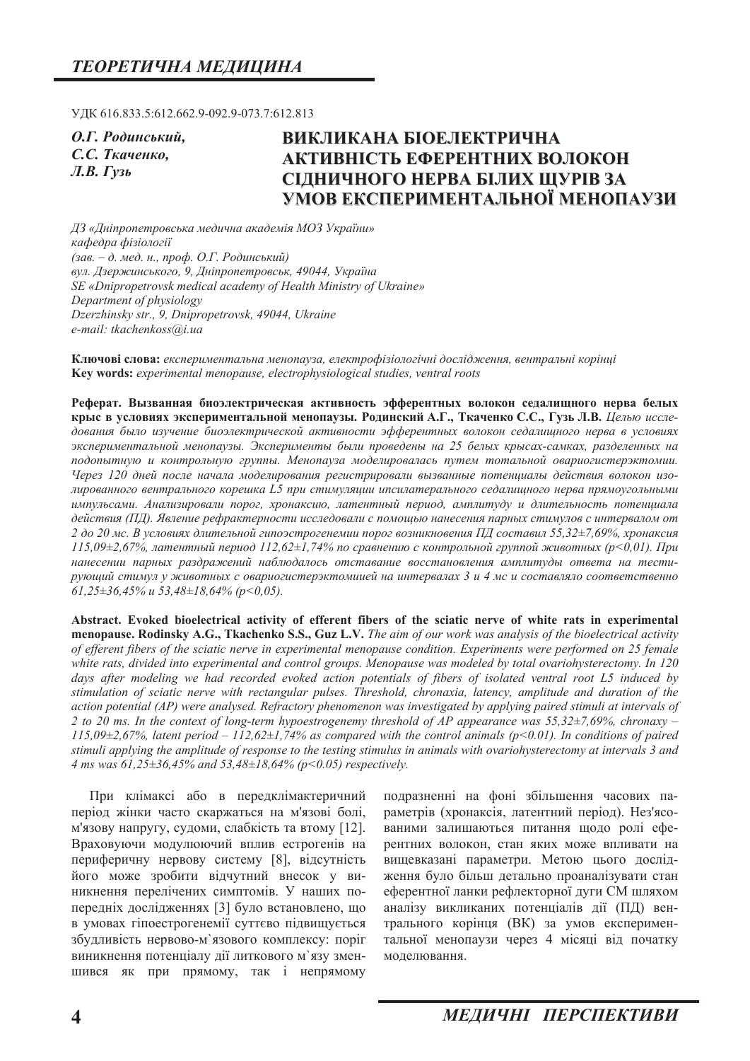УДК 616.833.5:612.662.9-092.9-073.7:612.813

**О.Г. Родинський,** С.С. Ткаченко, **Л.В.** Гузь

# ВИКЛИКАНА БІОЕЛЕКТРИЧНА **АКТИВНІСТЬ ЕФЕРЕНТНИХ ВОЛОКОН СІДНИЧНОГО НЕРВА БІЛИХ ЩУРІВЗА** УМОВ ЕКСПЕРИМЕНТАЛЬНОЇ МЕНОПАУЗИ

 $\Box$ 3 «Дніпропетровська медична академія МОЗ України» *ɤɚɮɟɞɪɚ ɮɿɡɿɨɥɨɝɿʀ*  (зав. – д. мед. н., проф. О.Г. Родинський)  $g_{VJ}$ . Дзержинського, 9, Дніпропетровськ, 49044, Україна *SE «Dnipropetrovsk medical academy of Health Ministry of Ukraine» Department of physiology Dzerzhinsky str., 9, Dnipropetrovsk, 49044, Ukraine e-mail: tkachenkoss@i.ua* 

Ключові слова: експериментальна менопауза, електрофізіологічні дослідження, вентральні корінці Key words: experimental menopause, electrophysiological studies, ventral roots

Реферат. Вызванная биоэлектрическая активность эфферентных волокон седалищного нерва белых крыс в условиях экспериментальной менопаузы. Родинский А.Г., Ткаченко С.С., Гузь Л.В. Целью исследования было изучение биоэлектрической активности эфферентных волокон седалищного нерва в условиях зкспериментальной менопаузы. Эксперименты были проведены на 25 белых крысах-самках, разделенных на подопытную и контрольную группы. Менопауза моделировалась путем тотальной овариогистерэктомии. Через 120 дней после начала моделирования регистрировали вызванные потенциалы действия волокон изолированного вентрального корешка L5 при стимуляции ипсилатерального седалищного нерва прямоугольными импульсами. Анализировали порог, хронаксию, латентный период, амплитуду и длительность потенциала действия (ПД). Явление рефрактерности исследовали с помощью нанесения парных стимулов с интервалом от 2 до 20 мс. В условиях длительной гипоэстрогенемии порог возникновения ПД составил 55,32±7,69%, хронаксия  $115,09±2,67%$ , латентный период  $112,62±1,74%$  по сравнению с контрольной группой животных (p<0,01). При нанесении парных раздражений наблюдалось отставание восстановления амплитуды ответа на тести- $\nu$ ующий стимул у животных с овариогистерэктомиией на интервалах 3 и 4 мс и составляло соответственно *61,25±36,45% ɢ 53,48±18,64% (ɪ<0,05).* 

Abstract. Evoked bioelectrical activity of efferent fibers of the sciatic nerve of white rats in experimental **menopause. Rodinsky A.G., Tkachenko S.S., Guz L.V.** The aim of our work was analysis of the bioelectrical activity *of efferent fibers of the sciatic nerve in experimental menopause condition. Experiments were performed on 25 female white rats, divided into experimental and control groups. Menopause was modeled by total ovariohysterectomy. In 120 days after modeling we had recorded evoked action potentials of fibers of isolated ventral root L5 induced by stimulation of sciatic nerve with rectangular pulses. Threshold, chronaxia, latency, amplitude and duration of the action potential (AP) were analysed. Refractory phenomenon was investigated by applying paired stimuli at intervals of 2 to 20 ms. In the context of long-term hypoestrogenemy threshold of AP appearance was 55,32±7,69%, chronaxy – 115,09±2,67%, latent period – 112,62±1,74% as compared with the control animals (p<0.01). In conditions of paired stimuli applying the amplitude of response to the testing stimulus in animals with ovariohysterectomy at intervals 3 and 4 ms was 61,25±36,45% and 53,48±18,64% (p<0.05) respectively.* 

При клімаксі або в передклімактеричний період жінки часто скаржаться на м'язові болі, м'язову напругу, судоми, слабкість та втому [12]. Враховуючи модулюючий вплив естрогенів на периферичну нервову систему [8], відсутність його може зробити відчутний внесок у виникнення перелічених симптомів. У наших попередніх дослідженнях [3] було встановлено, що в умовах гіпоестрогенемії суттєво підвищується збудливість нервово-м'язового комплексу: поріг виникнення потенціалу дії литкового м'язу зменшився як при прямому, так і непрямому

подразненні на фоні збільшення часових параметрів (хронаксія, латентний період). Нез'ясованими залишаються питання щодо ролі еферентних волокон, стан яких може впливати на вищевказані параметри. Метою цього дослідження було більш детально проаналізувати стан еферентної ланки рефлекторної дуги СМ шляхом аналізу викликаних потенціалів дії (ПД) вентрального корінця (ВК) за умов експериментальної менопаузи через 4 місяці від початку молелювання.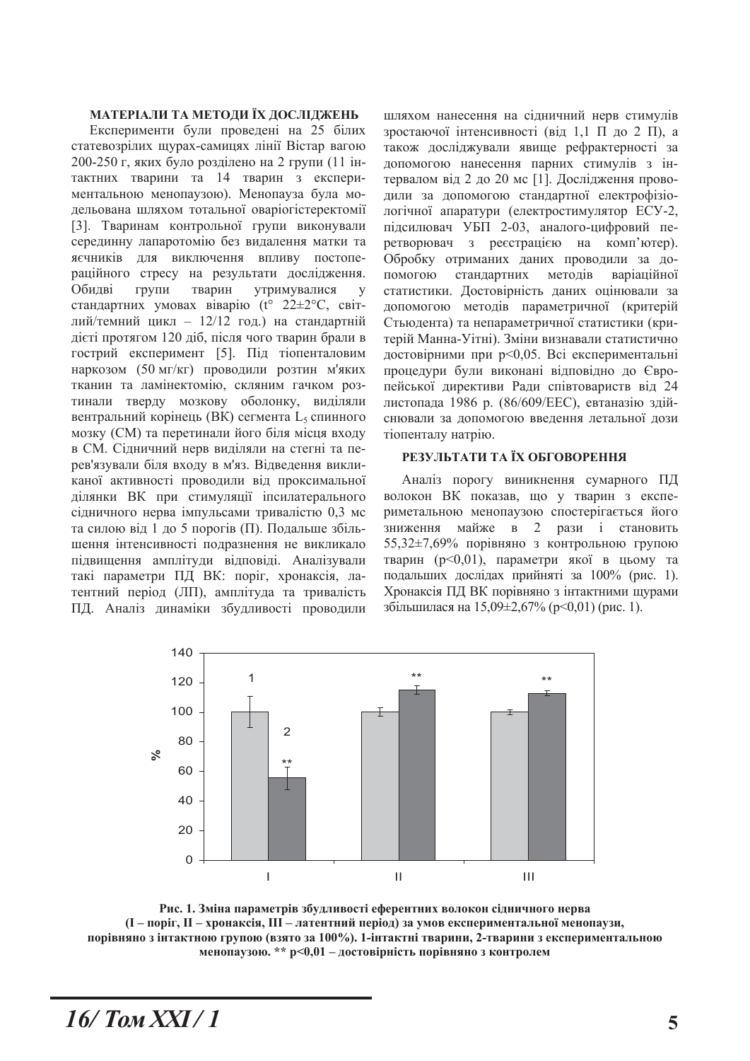#### МАТЕРІАЛИ ТА МЕТОДИ ЇХ ДОСЛІДЖЕНЬ

Експерименти були проведені на 25 білих статевозрілих щурах-самицях лінії Вістар вагою 200-250 г, яких було розділено на 2 групи (11 інтактних тварини та 14 тварин з експериментальною менопаузою). Менопауза була модельована шляхом тотальної оваріогістеректомії [3]. Тваринам контрольної групи виконували серединну лапаротомію без видалення матки та яєчників лля виключення впливу постопераційного стресу на результати дослідження. Обидві групи тварин утримувалися у стандартних умовах віварію (t° 22±2°С, світлий/темний цикл -  $12/12$  год.) на стандартній дієті протягом 120 діб, після чого тварин брали в гострий експеримент [5]. Під тіопенталовим наркозом (50 мг/кг) проводили розтин м'яких тканин та ламінектомію, скляним гачком розтинали тверду мозкову оболонку, виділяли вентральний корінець (ВК) сегмента L, спинного мозку (СМ) та перетинали його біля місця входу в СМ. Сідничний нерв виділяли на стегні та перев'язували біля входу в м'яз. Відведення викликаної активності проводили від проксимальної ділянки ВК при стимуляції іпсилатерального сідничного нерва імпульсами тривалістю 0,3 мс та силою від 1 до 5 порогів (П). Подальше збільшення інтенсивності подразнення не викликало підвищення амплітуди відповіді. Аналізували такі параметри ПД ВК: поріг, хронаксія, латентний період (ЛП), амплітуда та тривалість ПД. Аналіз динаміки збудливості проводили

шляхом нанесення на сідничний нерв стимулів зростаючої інтенсивності (від 1,1 П до 2 П), а також досліджували явище рефрактерності за допомогою нанесення парних стимулів з інтервалом від 2 до 20 мс [1]. Дослідження проводили за допомогою стандартної електрофізіологічної апаратури (електростимулятор ЕСУ-2, підсилювач УБП 2-03, аналого-цифровий перетворювач з ресстрацією на комп'ютер). Обробку отриманих даних проводили за допомогою стандартних методів варіаційної статистики. Достовірність даних оцінювали за допомогою методів параметричної (критерій Стьюдента) та непараметричної статистики (критерій Манна-Уітні). Зміни визнавали статистично достовірними при р<0,05. Всі експериментальні процедури були виконані відповідно до Європейської директиви Ради співтовариств від 24 листопада 1986 р. (86/609/ЕЕС), евтаназію здійснювали за допомогою введення летальної дози тіопенталу натрію.

### РЕЗУЛЬТАТИ ТА ЇХ ОБГОВОРЕННЯ

Аналіз порогу виникнення сумарного ПД волокон ВК показав, що у тварин з експериметальною менопаузою спостерігається його зниження майже в 2 рази і становить 55,32±7,69% порівняно з контрольною групою тварин (p<0,01), параметри якої в цьому та подальших дослідах прийняті за 100% (рис. 1). Хронаксія ПД ВК порівняно з інтактними щурами збільшилася на 15,09 $\pm$ 2,67% (р<0,01) (рис. 1).



Рис. 1. Зміна параметрів збудливості еферентних волокон сідничного нерва  $(I - n$ оріг,  $II - x$ ронаксія,  $III - x$ атентний період) за умов експериментальної менопаузи, порівняно з інтактною групою (взято за 100%). 1-інтактні тварини, 2-тварини з експериментальною менопаузою. \*\* p<0,01 - достовірність порівняно з контролем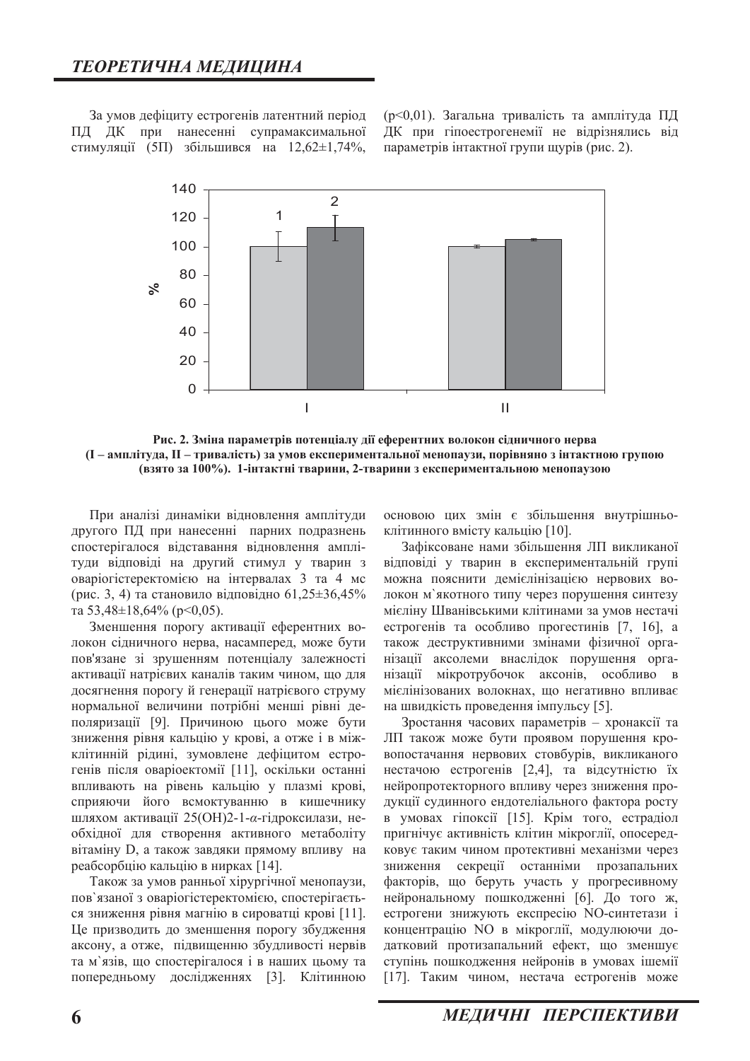За умов дефіциту естрогенів латентний період ПД ДК при нанесенні супрамаксимальної стимуляції (5П) збільшився на  $12,62 \pm 1,74\%$ ,

(p<0,01). Загальна тривалість та амплітуда ПД ДК при гіпоестрогенемії не відрізнялись від параметрів інтактної групи щурів (рис. 2).



Рис. 2. Зміна параметрів потенціалу дії еферентних волокон сідничного нерва  $(I - \text{aml}$ **літуда, II** – тривалість) за умов експериментальної менопаузи, порівняно з інтактною групою (взято за 100%). 1-**інтактні тварини, 2-тварини з експериментально**ю менопаузою

При аналізі динаміки відновлення амплітуди другого ПД при нанесенні парних подразнень спостерігалося відставання відновлення амплітуди відповіді на другий стимул у тварин з оваріогістеректомією на інтервалах 3 та 4 мс (рис. 3, 4) та становило відповідно 61,25 $\pm$ 36,45% Ta  $53,48\pm18,64\%$  (p<0,05).

Зменшення порогу активації еферентних волокон сідничного нерва, насамперед, може бути пов'язане зі зрушенням потенціалу залежності активації натрієвих каналів таким чином, що для досягнення порогу й генерації натрієвого струму нормальної величини потрібні менші рівні деполяризації [9]. Причиною цього може бути зниження рівня кальцію у крові, а отже і в міжклітинній рідині, зумовлене дефіцитом естрогенів після оваріоектомії [11], оскільки останні впливають на рівень кальцію у плазмі крові, сприяючи його всмоктуванню в кишечнику шляхом активації 25 (ОН) 2-1-α-гідроксилази, необхідної для створення активного метаболіту вітаміну D, а також завдяки прямому впливу на реабсорбцію кальцію в нирках [14].

Також за умов ранньої хірургічної менопаузи, пов'язаної з оваріогістеректомією, спостерігається зниження рівня магнію в сироватці крові [11]. Це призводить до зменшення порогу збудження аксону, а отже, підвищенню збудливості нервів та м'язів, що спостерігалося і в наших цьому та попередньому дослідженнях [3]. Клітинною

основою цих змін є збільшення внутрішньоклітинного вмісту кальцію [10].

Зафіксоване нами збільшення ЛП викликаної відповіді у тварин в експериментальній групі можна пояснити демієлінізацією нервових волокон м'якотного типу через порушення синтезу мієліну Шванівськими клітинами за умов нестачі естрогенів та особливо прогестинів [7, 16], а також деструктивними змінами фізичної організації аксолеми внаслідок порушення організації мікротрубочок аксонів, особливо в мієлінізованих волокнах, що негативно впливає на швидкість проведення імпульсу [5].

Зростання часових параметрів - хронаксії та ЛП також може бути проявом порушення кровопостачання нервових стовбурів, викликаного нестачою естрогенів [2,4], та відсутністю їх нейропротекторного впливу через зниження продукції судинного ендотеліального фактора росту в умовах гіпоксії [15]. Крім того, естрадіол пригнічує активність клітин мікроглії, опосередковує таким чином протективні механізми через зниження секреції останніми прозапальних факторів, що беруть участь у прогресивному нейрональному пошкодженні [6]. До того ж, естрогени знижують експресію NO-синтетази і концентрацію NO в мікроглії, модулюючи додатковий протизапальний ефект, що зменшує ступінь пошкодження нейронів в умовах ішемії [17]. Таким чином, нестача естрогенів може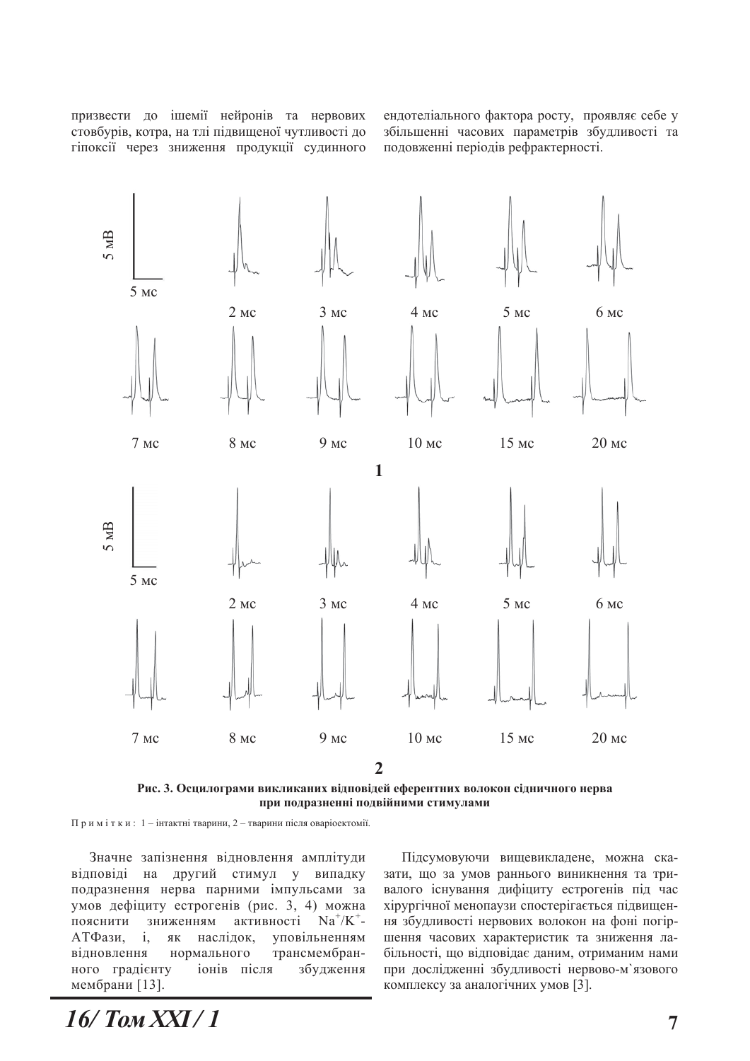призвести до ішемії нейронів та нервових стовбурів, котра, на тлі підвищеної чутливості до гіпоксії через зниження продукції судинного ендотеліального фактора росту, проявляє себе у збільшенні часових параметрів збудливості та подовженні періодів рефрактерності.



Рис. 3. Осцилограми викликаних відповідей еферентних волокон сідничного нерва при подразненні подвійними стимулами

Примітки: 1 - інтактні тварини, 2 - тварини після оваріоектомії.

Значне запізнення відновлення амплітуди відповіді на другий стимул у випадку подразнення нерва парними імпульсами за умов дефіциту естрогенів (рис. 3, 4) можна пояснити зниженням активності  $/K^{\dagger}$ -АТФази, і, як наслідок, уповільненням відновлення нормального трансмембранного градієнту іонів після збудження мембрани [13].

Підсумовуючи вищевикладене, можна сказати, що за умов раннього виникнення та тривалого існування дифіциту естрогенів під час хірургічної менопаузи спостерігається підвищення збудливості нервових волокон на фоні погіршення часових характеристик та зниження лабільності, що відповідає даним, отриманим нами при дослідженні збудливості нервово-м'язового комплексу за аналогічних умов [3].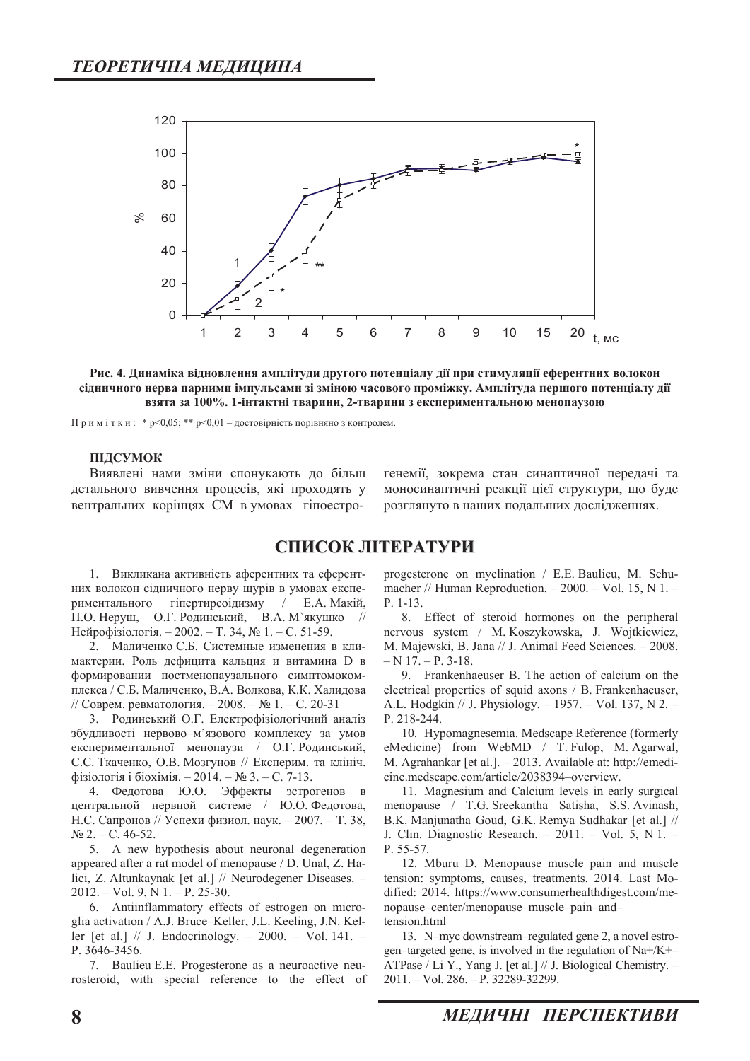

Рис. 4. Динаміка відновлення амплітуди другого потенціалу дії при стимуляції еферентних волокон сідничного нерва парними імпульсами зі зміною часового проміжку. Амплітуда першого потенціалу дії взята за 100%. 1-інтактні тварини, 2-тварини з експериментальною менопаузою

Примітки: \*  $p<0.05$ ; \*\*  $p<0.01$  – достовірність порівняно з контролем.

#### **ПІДСУМОК**

Виявлені нами зміни спонукають до більш детального вивчення процесів, які проходять у вентральних корінцях СМ в умовах гіпоестрогенемії, зокрема стан синаптичної передачі та моносинаптичні реакції цієї структури, що буде розглянуто в наших подальших дослідженнях.

## СПИСОК ЛІТЕРАТУРИ

1. Викликана активність аферентних та еферентних волокон сідничного нерву щурів в умовах експериментального гіпертиреоїдизму / Е.А. Макій, П.О. Неруш, О.Г. Родинський, В.А. М'якушко // Нейрофізіологія. - 2002. - Т. 34, № 1. - С. 51-59.

2. Маличенко С.Б. Системные изменения в климактерии. Роль дефицита кальция и витамина D в формировании постменопаузального симптомокомплекса / С.Б. Маличенко, В.А. Волкова, К.К. Халидова // Соврем. ревматология.  $-2008.-\text{N}_2 1.-\text{C}$ . 20-31

3. Родинський О.Г. Електрофізіологічний аналіз збудливості нервово-м'язового комплексу за умов експериментальної менопаузи / О.Г. Родинський, С.С. Ткаченко, О.В. Мозгунов // Експерим. та клініч. фізіологія і біохімія. - 2014. - № 3. - С. 7-13.

4. Федотова Ю.О. Эффекты эстрогенов в центральной нервной системе / Ю.О. Федотова, Н.С. Сапронов // Успехи физиол. наук. - 2007. - Т. 38,  $N_2$  2. – C. 46-52.

5. A new hypothesis about neuronal degeneration appeared after a rat model of menopause / D. Unal, Z. Halici, Z. Altunkaynak [et al.] // Neurodegener Diseases. - $2012. - Vol. 9, N 1. - P. 25-30.$ 

6. Antiinflammatory effects of estrogen on microglia activation / A.J. Bruce–Keller, J.L. Keeling, J.N. Keller [et al.]  $// J. Endocrinology. - 2000. - Vol. 141. -$ P. 3646-3456.

7. Baulieu E.E. Progesterone as a neuroactive neurosteroid, with special reference to the effect of progesterone on myelination / E.E. Baulieu, M. Schumacher // Human Reproduction.  $-2000$ .  $-$  Vol. 15, N 1.  $P. 1-13.$ 

8. Effect of steroid hormones on the peripheral nervous system / M. Koszykowska, J. Wojtkiewicz, M. Majewski, B. Jana // J. Animal Feed Sciences. - 2008.  $- N 17. - P. 3-18.$ 

9. Frankenhaeuser B. The action of calcium on the electrical properties of squid axons  $/$  B. Frankenhaeuser, A.L. Hodgkin // J. Physiology.  $- 1957. -$  Vol. 137, N 2.  $-$ P. 218-244.

10. Hypomagnesemia. Medscape Reference (formerly eMedicine) from WebMD / T. Fulop, M. Agarwal, M. Agrahankar [et al.]. - 2013. Available at: http://emedicine.medscape.com/article/2038394-overview.

11. Magnesium and Calcium levels in early surgical menopause / T.G. Sreekantha Satisha, S.S. Avinash, B.K. Manjunatha Goud, G.K. Remya Sudhakar [et al.] // J. Clin. Diagnostic Research.  $- 2011$ .  $-$  Vol. 5, N 1.  $-$ P. 55-57.

12. Mburu D. Menopause muscle pain and muscle tension: symptoms, causes, treatments. 2014. Last Modified: 2014. https://www.consumerhealthdigest.com/menopause-center/menopause-muscle-pain-andtension.html

13. N-myc downstream-regulated gene 2, a novel estrogen–targeted gene, is involved in the regulation of  $Na + / K +$  $ATPase / Li Y$ ., Yang J. [et al.] // J. Biological Chemistry. -2011. - Vol. 286. - P. 32289-32299.